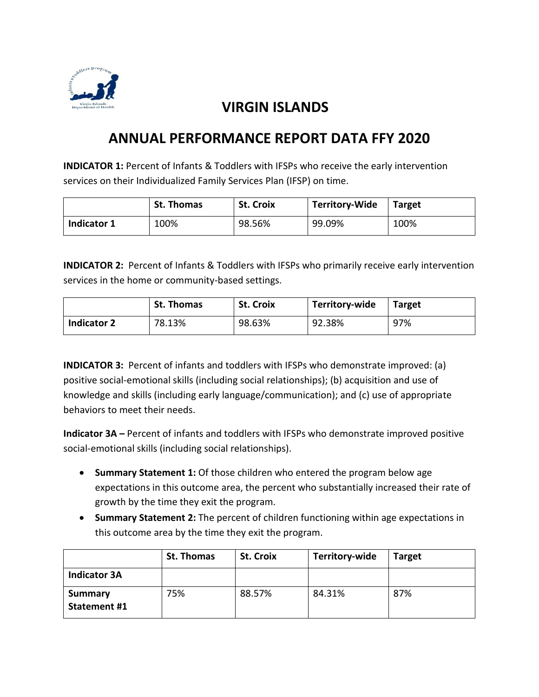

## **VIRGIN ISLANDS**

## **ANNUAL PERFORMANCE REPORT DATA FFY 2020**

**INDICATOR 1:** Percent of Infants & Toddlers with IFSPs who receive the early intervention services on their Individualized Family Services Plan (IFSP) on time.

|             | <b>St. Thomas</b> | <b>St. Croix</b> | <b>Territory-Wide</b> | <b>Target</b> |
|-------------|-------------------|------------------|-----------------------|---------------|
| Indicator 1 | 100%              | 98.56%           | 99.09%                | 100%          |

**INDICATOR 2:** Percent of Infants & Toddlers with IFSPs who primarily receive early intervention services in the home or community-based settings.

|                    | <b>St. Thomas</b> | <b>St. Croix</b> | Territory-wide | <b>Target</b> |
|--------------------|-------------------|------------------|----------------|---------------|
| <b>Indicator 2</b> | 78.13%            | 98.63%           | 92.38%         | 97%           |

**INDICATOR 3:** Percent of infants and toddlers with IFSPs who demonstrate improved: (a) positive social-emotional skills (including social relationships); (b) acquisition and use of knowledge and skills (including early language/communication); and (c) use of appropriate behaviors to meet their needs.

**Indicator 3A** – Percent of infants and toddlers with IFSPs who demonstrate improved positive social-emotional skills (including social relationships).

- **Summary Statement 1:** Of those children who entered the program below age expectations in this outcome area, the percent who substantially increased their rate of growth by the time they exit the program.
- **Summary Statement 2:** The percent of children functioning within age expectations in this outcome area by the time they exit the program.

|                                       | St. Thomas | <b>St. Croix</b> | Territory-wide | <b>Target</b> |
|---------------------------------------|------------|------------------|----------------|---------------|
| <b>Indicator 3A</b>                   |            |                  |                |               |
| <b>Summary</b><br><b>Statement #1</b> | 75%        | 88.57%           | 84.31%         | 87%           |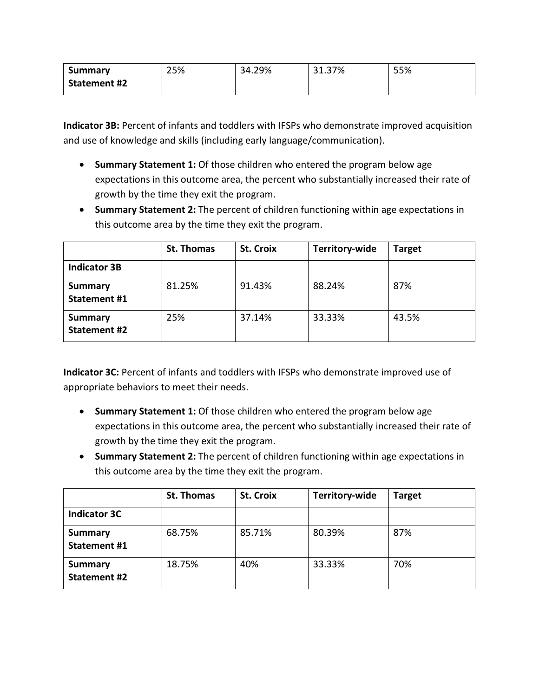| Summary             | 25% | 34.29% | 31.37% | 55% |
|---------------------|-----|--------|--------|-----|
| <b>Statement #2</b> |     |        |        |     |

**Indicator 3B:** Percent of infants and toddlers with IFSPs who demonstrate improved acquisition and use of knowledge and skills (including early language/communication).

- **Summary Statement 1:** Of those children who entered the program below age expectations in this outcome area, the percent who substantially increased their rate of growth by the time they exit the program.
- **Summary Statement 2:** The percent of children functioning within age expectations in this outcome area by the time they exit the program.

|                                       | St. Thomas | <b>St. Croix</b> | Territory-wide | <b>Target</b> |
|---------------------------------------|------------|------------------|----------------|---------------|
| <b>Indicator 3B</b>                   |            |                  |                |               |
| <b>Summary</b><br><b>Statement #1</b> | 81.25%     | 91.43%           | 88.24%         | 87%           |
| <b>Summary</b><br><b>Statement #2</b> | 25%        | 37.14%           | 33.33%         | 43.5%         |

**Indicator 3C:** Percent of infants and toddlers with IFSPs who demonstrate improved use of appropriate behaviors to meet their needs.

- **Summary Statement 1:** Of those children who entered the program below age expectations in this outcome area, the percent who substantially increased their rate of growth by the time they exit the program.
- **Summary Statement 2:** The percent of children functioning within age expectations in this outcome area by the time they exit the program.

|                                       | <b>St. Thomas</b> | <b>St. Croix</b> | Territory-wide | <b>Target</b> |
|---------------------------------------|-------------------|------------------|----------------|---------------|
| <b>Indicator 3C</b>                   |                   |                  |                |               |
| <b>Summary</b><br><b>Statement #1</b> | 68.75%            | 85.71%           | 80.39%         | 87%           |
| <b>Summary</b><br><b>Statement #2</b> | 18.75%            | 40%              | 33.33%         | 70%           |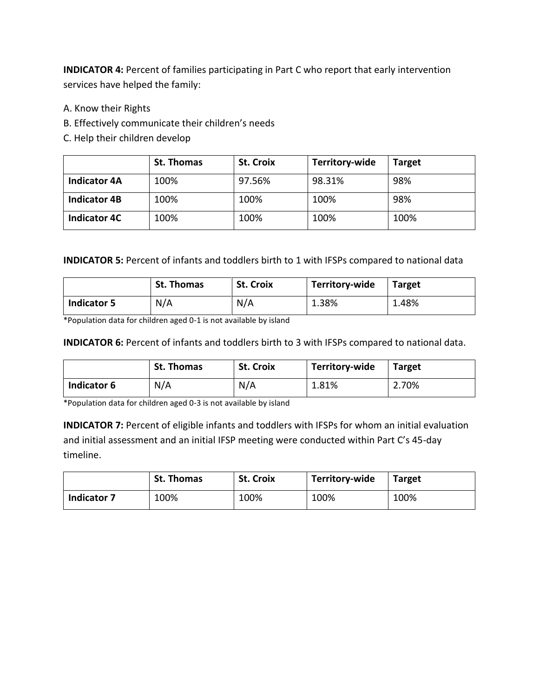**INDICATOR 4:** Percent of families participating in Part C who report that early intervention services have helped the family:

- A. Know their Rights
- B. Effectively communicate their children's needs
- C. Help their children develop

|                     | <b>St. Thomas</b> | <b>St. Croix</b> | Territory-wide | <b>Target</b> |
|---------------------|-------------------|------------------|----------------|---------------|
| <b>Indicator 4A</b> | 100%              | 97.56%           | 98.31%         | 98%           |
| <b>Indicator 4B</b> | 100%              | 100%             | 100%           | 98%           |
| <b>Indicator 4C</b> | 100%              | 100%             | 100%           | 100%          |

## **INDICATOR 5:** Percent of infants and toddlers birth to 1 with IFSPs compared to national data

|                    | <b>St. Thomas</b> | <b>St. Croix</b> | Territory-wide | <b>Target</b> |
|--------------------|-------------------|------------------|----------------|---------------|
| <b>Indicator 5</b> | N/A               | N/A              | 1.38%          | 1.48%         |

\*Population data for children aged 0-1 is not available by island

## **INDICATOR 6:** Percent of infants and toddlers birth to 3 with IFSPs compared to national data.

|             | <b>St. Thomas</b> | <b>St. Croix</b> | Territory-wide | <b>Target</b> |
|-------------|-------------------|------------------|----------------|---------------|
| Indicator 6 | N/A               | N/A              | 1.81%          | 2.70%         |

\*Population data for children aged 0-3 is not available by island

**INDICATOR 7:** Percent of eligible infants and toddlers with IFSPs for whom an initial evaluation and initial assessment and an initial IFSP meeting were conducted within Part C's 45-day timeline.

|                    | <b>St. Thomas</b> | <b>St. Croix</b> | Territory-wide | <b>Target</b> |
|--------------------|-------------------|------------------|----------------|---------------|
| <b>Indicator 7</b> | 100%              | 100%             | 100%           | 100%          |